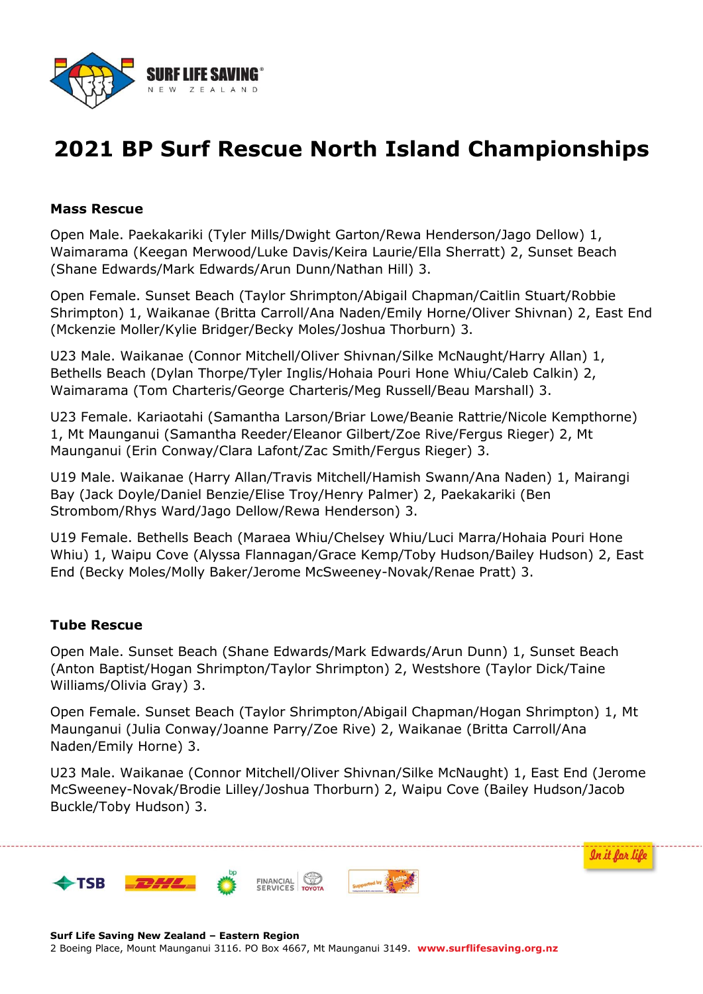

## **2021 BP Surf Rescue North Island Championships**

#### **Mass Rescue**

Open Male. Paekakariki (Tyler Mills/Dwight Garton/Rewa Henderson/Jago Dellow) 1, Waimarama (Keegan Merwood/Luke Davis/Keira Laurie/Ella Sherratt) 2, Sunset Beach (Shane Edwards/Mark Edwards/Arun Dunn/Nathan Hill) 3.

Open Female. Sunset Beach (Taylor Shrimpton/Abigail Chapman/Caitlin Stuart/Robbie Shrimpton) 1, Waikanae (Britta Carroll/Ana Naden/Emily Horne/Oliver Shivnan) 2, East End (Mckenzie Moller/Kylie Bridger/Becky Moles/Joshua Thorburn) 3.

U23 Male. Waikanae (Connor Mitchell/Oliver Shivnan/Silke McNaught/Harry Allan) 1, Bethells Beach (Dylan Thorpe/Tyler Inglis/Hohaia Pouri Hone Whiu/Caleb Calkin) 2, Waimarama (Tom Charteris/George Charteris/Meg Russell/Beau Marshall) 3.

U23 Female. Kariaotahi (Samantha Larson/Briar Lowe/Beanie Rattrie/Nicole Kempthorne) 1, Mt Maunganui (Samantha Reeder/Eleanor Gilbert/Zoe Rive/Fergus Rieger) 2, Mt Maunganui (Erin Conway/Clara Lafont/Zac Smith/Fergus Rieger) 3.

U19 Male. Waikanae (Harry Allan/Travis Mitchell/Hamish Swann/Ana Naden) 1, Mairangi Bay (Jack Doyle/Daniel Benzie/Elise Troy/Henry Palmer) 2, Paekakariki (Ben Strombom/Rhys Ward/Jago Dellow/Rewa Henderson) 3.

U19 Female. Bethells Beach (Maraea Whiu/Chelsey Whiu/Luci Marra/Hohaia Pouri Hone Whiu) 1, Waipu Cove (Alyssa Flannagan/Grace Kemp/Toby Hudson/Bailey Hudson) 2, East End (Becky Moles/Molly Baker/Jerome McSweeney-Novak/Renae Pratt) 3.

#### **Tube Rescue**

Open Male. Sunset Beach (Shane Edwards/Mark Edwards/Arun Dunn) 1, Sunset Beach (Anton Baptist/Hogan Shrimpton/Taylor Shrimpton) 2, Westshore (Taylor Dick/Taine Williams/Olivia Gray) 3.

Open Female. Sunset Beach (Taylor Shrimpton/Abigail Chapman/Hogan Shrimpton) 1, Mt Maunganui (Julia Conway/Joanne Parry/Zoe Rive) 2, Waikanae (Britta Carroll/Ana Naden/Emily Horne) 3.

U23 Male. Waikanae (Connor Mitchell/Oliver Shivnan/Silke McNaught) 1, East End (Jerome McSweeney-Novak/Brodie Lilley/Joshua Thorburn) 2, Waipu Cove (Bailey Hudson/Jacob Buckle/Toby Hudson) 3.

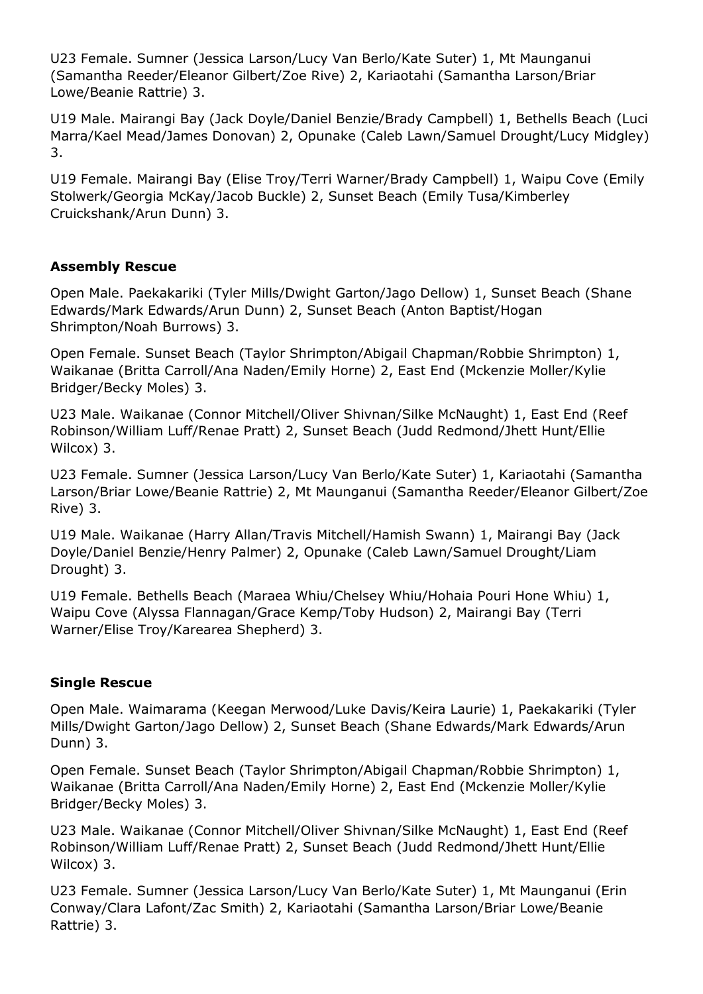U23 Female. Sumner (Jessica Larson/Lucy Van Berlo/Kate Suter) 1, Mt Maunganui (Samantha Reeder/Eleanor Gilbert/Zoe Rive) 2, Kariaotahi (Samantha Larson/Briar Lowe/Beanie Rattrie) 3.

U19 Male. Mairangi Bay (Jack Doyle/Daniel Benzie/Brady Campbell) 1, Bethells Beach (Luci Marra/Kael Mead/James Donovan) 2, Opunake (Caleb Lawn/Samuel Drought/Lucy Midgley) 3.

U19 Female. Mairangi Bay (Elise Troy/Terri Warner/Brady Campbell) 1, Waipu Cove (Emily Stolwerk/Georgia McKay/Jacob Buckle) 2, Sunset Beach (Emily Tusa/Kimberley Cruickshank/Arun Dunn) 3.

### **Assembly Rescue**

Open Male. Paekakariki (Tyler Mills/Dwight Garton/Jago Dellow) 1, Sunset Beach (Shane Edwards/Mark Edwards/Arun Dunn) 2, Sunset Beach (Anton Baptist/Hogan Shrimpton/Noah Burrows) 3.

Open Female. Sunset Beach (Taylor Shrimpton/Abigail Chapman/Robbie Shrimpton) 1, Waikanae (Britta Carroll/Ana Naden/Emily Horne) 2, East End (Mckenzie Moller/Kylie Bridger/Becky Moles) 3.

U23 Male. Waikanae (Connor Mitchell/Oliver Shivnan/Silke McNaught) 1, East End (Reef Robinson/William Luff/Renae Pratt) 2, Sunset Beach (Judd Redmond/Jhett Hunt/Ellie Wilcox) 3.

U23 Female. Sumner (Jessica Larson/Lucy Van Berlo/Kate Suter) 1, Kariaotahi (Samantha Larson/Briar Lowe/Beanie Rattrie) 2, Mt Maunganui (Samantha Reeder/Eleanor Gilbert/Zoe Rive) 3.

U19 Male. Waikanae (Harry Allan/Travis Mitchell/Hamish Swann) 1, Mairangi Bay (Jack Doyle/Daniel Benzie/Henry Palmer) 2, Opunake (Caleb Lawn/Samuel Drought/Liam Drought) 3.

U19 Female. Bethells Beach (Maraea Whiu/Chelsey Whiu/Hohaia Pouri Hone Whiu) 1, Waipu Cove (Alyssa Flannagan/Grace Kemp/Toby Hudson) 2, Mairangi Bay (Terri Warner/Elise Troy/Karearea Shepherd) 3.

### **Single Rescue**

Open Male. Waimarama (Keegan Merwood/Luke Davis/Keira Laurie) 1, Paekakariki (Tyler Mills/Dwight Garton/Jago Dellow) 2, Sunset Beach (Shane Edwards/Mark Edwards/Arun Dunn) 3.

Open Female. Sunset Beach (Taylor Shrimpton/Abigail Chapman/Robbie Shrimpton) 1, Waikanae (Britta Carroll/Ana Naden/Emily Horne) 2, East End (Mckenzie Moller/Kylie Bridger/Becky Moles) 3.

U23 Male. Waikanae (Connor Mitchell/Oliver Shivnan/Silke McNaught) 1, East End (Reef Robinson/William Luff/Renae Pratt) 2, Sunset Beach (Judd Redmond/Jhett Hunt/Ellie Wilcox) 3.

U23 Female. Sumner (Jessica Larson/Lucy Van Berlo/Kate Suter) 1, Mt Maunganui (Erin Conway/Clara Lafont/Zac Smith) 2, Kariaotahi (Samantha Larson/Briar Lowe/Beanie Rattrie) 3.